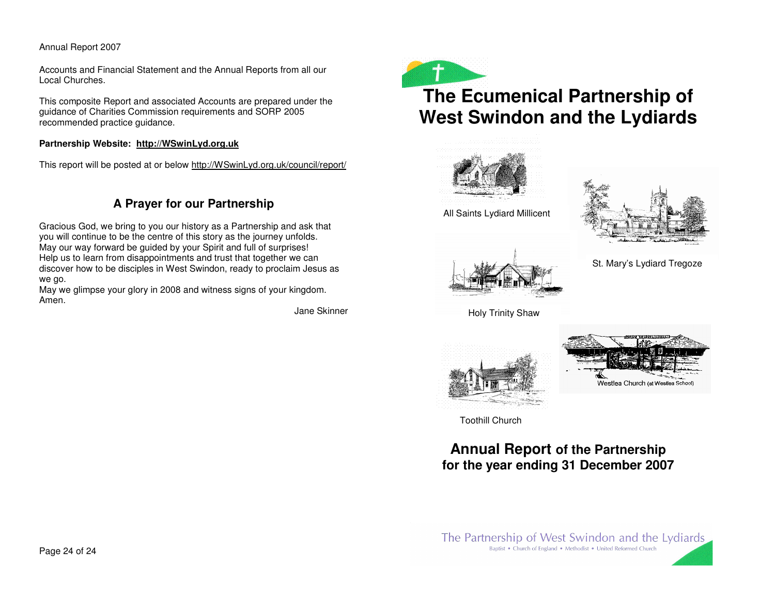Accounts and Financial Statement and the Annual Reports from all our Local Churches.

This composite Report and associated Accounts are prepared under the guidance of Charities Commission requirements and SORP 2005 recommended practice guidance.

#### **Partnership Website: http://WSwinLyd.org.uk**

This report will be posted at or below http://WSwinLyd.org.uk/council/report/

## **A Prayer for our Partnership**

Gracious God, we bring to you our history as <sup>a</sup> Partnership and ask that you will continue to be the centre of this story as the journey unfolds. May our way forward be guided by your Spirit and full of surprises! Help us to learn from disappointments and trust that together we can discover how to be disciples in West Swindon, ready to proclaim Jesus as we go.

May we glimpse your glory in 2008 and witness signs of your kingdom. Amen.

Jane Skinner



# **The Ecumenical Partnership of West Swindon and the Lydiards**



All Saints Lydiard Millicent





St. Mary's Lydiard Tregoze

Holy Trinity Shaw





Toothill Church

## **Annual Report of the Partnership for the year ending 31 December 2007**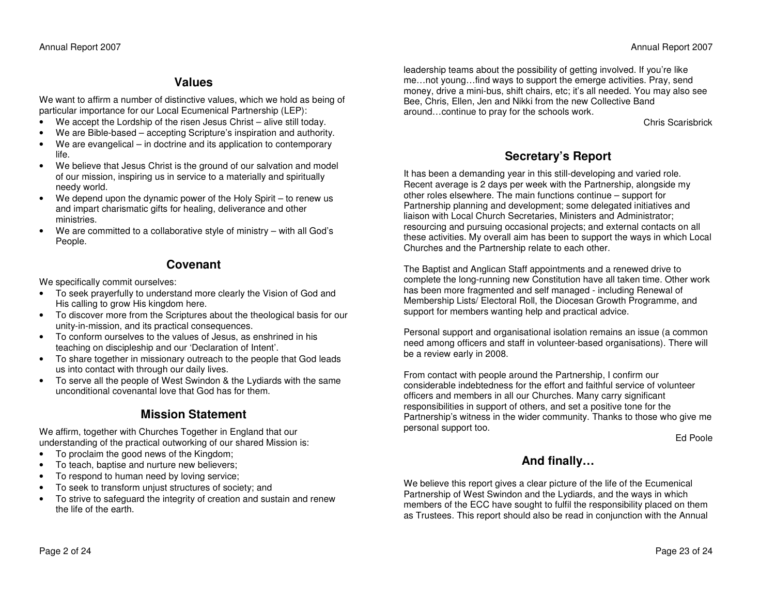### **Values**

We w ant to affirm a number of distinctive values, which we hold as being of particular importance for our Local Ecumenical P artnership (LE P):

- •We accept the Lordship of the risen Jesus Christ – alive still today.
- •We are Bible-based – accepting Scripture's inspiration and authority.
- • We are evangelical – in doctrine and its application to contemporary life.
- • We believe that Jesus Christ is the ground of our salvation and model of our mission, inspiring us in service to <sup>a</sup> m aterially and spiritually needy world.
- • We depend upon the dyna mic power of the Holy Spirit – to renew us and impart charismatic gifts for healing, deliverance and other ministries.
- • We are committed to <sup>a</sup> collaborative style of ministry – with all God's People.

## **Covenant**

We specifically com mit ourselves:

- To seek prayerfully to understand more clearly the Vision of God and His calling to grow His kingdom here.
- To discover more from the Scriptures about the theological basis for our unity-in-mission, and its practical consequences.
- • To conform ourselves to the values of Jesus, as enshrined in his teaching on discipleship and our 'Declaration of Intent'.
- • To share together in missionary outreach to the people that God leads us into contact with through our daily lives.
- • To serve all the people of West S windon & the Lydiards with the sa meunconditional covenantal love that God has for them.

## **MissionStatement**

We affirm, together with Churches Together in England that our understanding of the practical outworking of our shared Mission is:

- •To proclaim the good news of the Kingdom;
- •To teach, baptise and nurture new believers;
- •To respond to hum an need by loving service;
- •To seek to transform unjust structures of society; and
- • To strive to safeguard the integrity of creation and sustain and renew the life of the earth.

leadership tea ms about the possibility of getting involved. If you're like me…not young…find <sup>w</sup> ays to support the emerge activities. Pray, send money, drive <sup>a</sup> mini-bus, shift chairs, etc; it's all needed. You <sup>m</sup> ay also see Bee, Chris, Ellen, Jen and Nikki from the new Collective Bandaround…continue to pray for the schools work.

Chris Scarisbrick

## **S e cretary's R e p ort**

It has been a demanding year in this still-developing and varied role. Recent average is 2 days per week with the P artnership, alongside my other roles elsewhere. The main functions continue – support for P artnership planning and development; some delegated initiatives and liaison with Local Church Secretaries, Ministers and Administrator; resourcing and pursuing occasional projects; and external contacts on all these activities. My overall aim has been to support the <sup>w</sup> ays in which Local Churches and the Partnership relate to each other.

The Baptist and Anglican Staff appointments and <sup>a</sup> renewed drive to complete the long-running new Constitution have all taken time. Other work has been more fragmented and self <sup>m</sup> anaged - including Renew al of Membership Lists/ Electoral Roll, the Diocesan Growth Progra mme, and support for members <sup>w</sup> anting help and practical advice.

Personal support and organisational isolation rem ains an issue (a com monneed a mong officers and staff in volunteer-based organisations). There will be a review early in 2008.

From contact with people around the P artnership, I confirm our considerable indebtedness for the effort and faithful service of volunteer officers and members in all our Churches. Many carry significant responsibilities in support of others, and set <sup>a</sup> positive tone for the P artnership's witness in the wider com munity. Thanks to those who give me personal support too.

Ed Poole

## **And fin ally …**

We believe this report gives <sup>a</sup> clear picture of the life of the Ecumenical Partnership of West S windon and the Lydiards, and the <sup>w</sup> ays in which members of the E C C have sought to fulfil the responsibility placed on them as Trustees. This report should also be read in conjunction with the Annual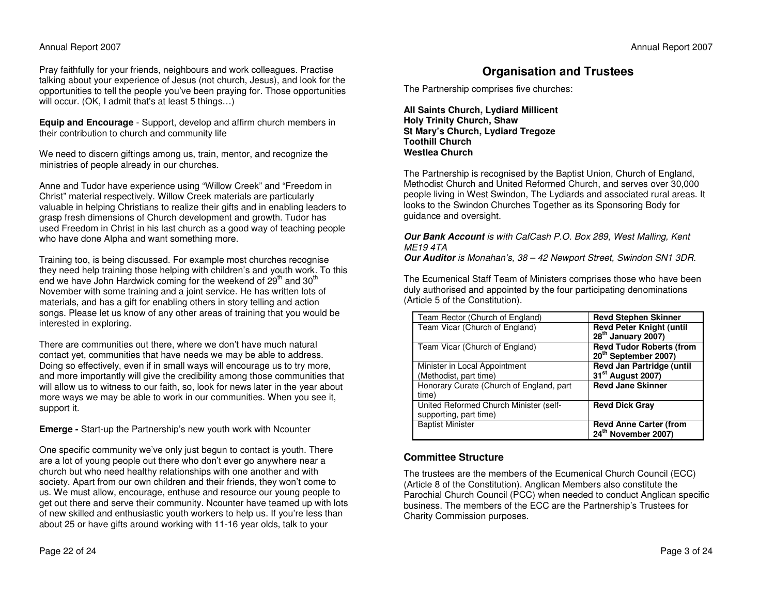Pray faithfully for your friends, neighbours and work colleagues. Practise talking about your experience of Jesus (not church, Jesus), and look for the opportunities to tell the people you've been praying for. Those opportunities will occur. (O K, I admit that's at least 5 things…)

**Eq uip andEncourag e** - Support, develop and affirm church members in their contribution to church and community life

We need to discern giftings <sup>a</sup> mong us, train, mentor, and recognize the ministries of people already in our churches.

Anne and Tudor have experience using "Willow Creek" and "Freedom in Christ" material respectively. Willow Creek materials are particularly valuable in helping Christians to realize their gifts and in enabling leaders to grasp fresh dimensions of Church development and growth. Tudor has used Freedom in Christ in his last church as <sup>a</sup> good <sup>w</sup> ay of teaching people who have done Alpha and w ant something more.

Training too, is being discussed. For exa mple most churches recognise they need help training those helping with children's and youth work. To this end we have John Hardwick coming for the weekend of 29<sup>th</sup> and 30<sup>th</sup> November with some training and <sup>a</sup> joint service. He has written lots of materials, and has <sup>a</sup> gift for enabling others in story telling and action songs. Please let us know of any other areas of training that you would be interested in exploring.

There are communities out there, where we don't have much natural contact yet, com munities that have needs we <sup>m</sup>ay be able to address. Doing so effectively, even if in sm all ways will encourage us to try more, and more importantly will give the credibility <sup>a</sup> mong those com munities that will allow us to witness to our faith, so, look for news later in the year about more ways we m ay be able to work in our com munities. When you see it, support it.

**Emerg e -** Start-up the P artnership's new youth work with Ncounter

One specific com munity we've only just begun to contact is youth. There are <sup>a</sup> lot of young people out there who don't ever go anywhere near <sup>a</sup> church but who need healthy relationships with one another and with society. Apart from our own children and their friends, they won't come to us. We must allow, encourage, enthuse and resource our young people to get out there and serve their com munity. Ncounter have tea med up with lots of new skilled and enthusiastic youth workers to help us. If you're less than about 25 or have gifts around working with 11-16 year olds, talk to your

#### Annual Report 2007

## **Organisation and Trustees**

The P artnership comprises five churches:

**All SaintsChurch, L y diardMillicent H oly Trinity Church, Sha w St Mary's Church, L y diardTreg ozeToothill ChurchWestleaChurch**

The P artnership is recognised by the B aptist Union, Church of England, Methodist Church and United Reformed Church, and serves over 30,000 people living in West S windon, The Lydiards and associated rural areas. It looks to the Swindon Churches Together as its Sponsoring Body for guidance and oversight.

#### **Our Bank Account** is with CafCash P.O. Box 289, West Malling, Kent *ME194TA*

**Our Auditor** is Monahan's, 38 – 42 Newport Street, Swindon SN1 3DR.

The Ecumenical Staff Tea m of Ministers comprises those who have been duly authorised and appointed by the four participating denominations (Article 5 of the Constitution).

| Team Rector (Church of England)                                  | <b>Revd Stephen Skinner</b>                                         |
|------------------------------------------------------------------|---------------------------------------------------------------------|
| Team Vicar (Church of England)                                   | <b>Revd Peter Knight (until</b><br>28 <sup>th</sup> January 2007)   |
| Team Vicar (Church of England)                                   | <b>Revd Tudor Roberts (from</b><br>20 <sup>th</sup> September 2007) |
| Minister in Local Appointment<br>(Methodist, part time)          | Revd Jan Partridge (until<br>31 <sup>st</sup> August 2007)          |
| Honorary Curate (Church of England, part<br>time)                | <b>Revd Jane Skinner</b>                                            |
| United Reformed Church Minister (self-<br>supporting, part time) | <b>Revd Dick Gray</b>                                               |
| <b>Baptist Minister</b>                                          | <b>Revd Anne Carter (from</b><br>24 <sup>th</sup> November 2007)    |

#### **CommitteeStructure**

The trustees are the members of the Ecumenical Church Council (E CC) (Article 8 of the Constitution). Anglican Members also constitute the Parochial Church Council (P CC) when needed to conduct Anglican specific business. The members of the ECC are the Partnership's Trustees for Charity Com mission purposes.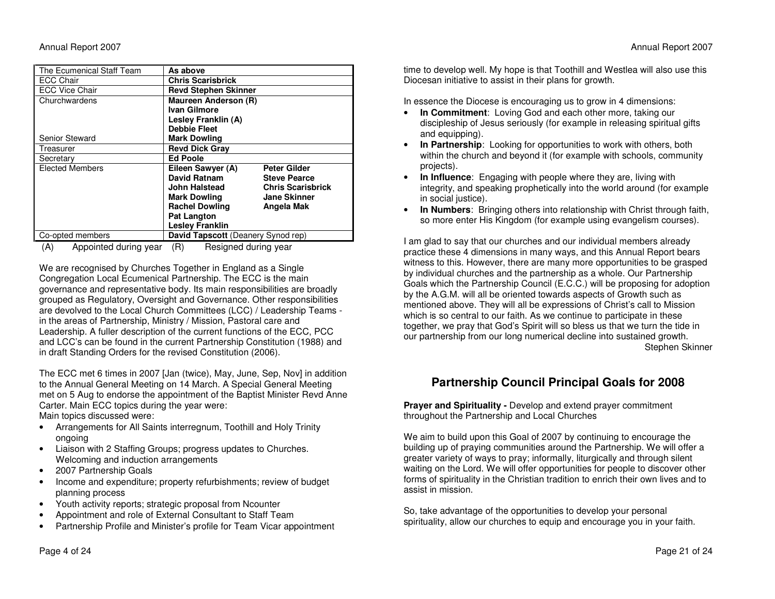| The Ecumenical Staff Team                              | As above                                  |                     |  |  |  |
|--------------------------------------------------------|-------------------------------------------|---------------------|--|--|--|
| <b>ECC Chair</b>                                       | <b>Chris Scarisbrick</b>                  |                     |  |  |  |
| <b>ECC Vice Chair</b>                                  | <b>Revd Stephen Skinner</b>               |                     |  |  |  |
| Churchwardens                                          | <b>Maureen Anderson (R)</b>               |                     |  |  |  |
|                                                        | Ivan Gilmore                              |                     |  |  |  |
|                                                        | Lesley Franklin (A)                       |                     |  |  |  |
|                                                        | <b>Debbie Fleet</b>                       |                     |  |  |  |
| Senior Steward                                         | <b>Mark Dowling</b>                       |                     |  |  |  |
| Treasurer                                              | <b>Revd Dick Grav</b>                     |                     |  |  |  |
| Secretary                                              | <b>Ed Poole</b>                           |                     |  |  |  |
| <b>Elected Members</b>                                 | Eileen Sawyer (A)                         | <b>Peter Gilder</b> |  |  |  |
|                                                        | David Ratnam                              | <b>Steve Pearce</b> |  |  |  |
|                                                        | John Halstead<br><b>Chris Scarisbrick</b> |                     |  |  |  |
|                                                        | <b>Mark Dowling</b>                       | <b>Jane Skinner</b> |  |  |  |
|                                                        | <b>Rachel Dowling</b><br>Angela Mak       |                     |  |  |  |
|                                                        | Pat Langton                               |                     |  |  |  |
|                                                        | <b>Lesley Franklin</b>                    |                     |  |  |  |
| David Tapscott (Deanery Synod rep)<br>Co-opted members |                                           |                     |  |  |  |

(A) Appointed during year (R) Resigned during year

We are recognised by Churches Together in England as <sup>a</sup> Single Congregation Local Ecumenical Partnership. The ECC is the main governance and representative body. Its <sup>m</sup> ain responsibilities are broadly grouped as Regulatory, Oversight and Governance. Other responsibilities are devolved to the Local Church Committees (LC C) / Leadership Tea ms in the areas of Partnership, Ministry / Mission, Pastoral care and Leadership. A fuller description of the current functions of the E CC, P CCand LCC's can be found in the current Partnership Constitution (1988) and in draft Standing Orders for the revised Constitution (2006).

The E CCmet 6 times in 2007 [Jan (twice), M ay, June, Sep, Nov] in addition to the Annual General Meeting on 14 March. ASpecial General Meeting met on 5 Aug to endorse the appointment of the B aptist Minister Revd Anne Carter. Main ECC topics during the year were:

M ain topics discussed were:

- Arrangements for All Saints interregnum, Toothill and Holy Trinity ongoing
- • Liaison with 2 Staffing Groups; progress updates to Churches. Welcoming and induction arrangements
- •2007 Partnership Goals
- •• Income and expenditure; property refurbishments; review of budget planning process
- •Youth activity reports; strategic proposal from Ncounter
- •Appointment and role of External Consultant to Staff Tea m
- •• Partnership Profile and Minister's profile for Team Vicar appointment

time to develop well. My hope is that Toothill and Westlea will also use this Diocesan initiative to assist in their plans for growth.

In essence the Diocese is encouraging us to grow in 4 dimensions:

- •**• In Commitment**: Loving God and each other more, taking our discipleship of Jesus seriously (for exa mple in releasing spiritual gifts and equipping).
- •**• In Partnership**: Looking for opportunities to work with others, both within the church and beyond it (for exa mple with schools, com munity projects).
- • **In Influ ence**: Engaging with people where they are, living with integrity, and speaking prophetically into the world around (for exa mple in social justice).
- • **InNumbers**: Bringing others into relationship with Christ through faith, so more enter His Kingdom (for exa mple using evangelism courses).

II am glad to say that our churches and our individual members already practice these 4 dimensions in <sup>m</sup> any <sup>w</sup> ays, and this Annual Report bears witness to this. However, there are <sup>m</sup> any more opportunities to be grasped by individual churches and the partnership as <sup>a</sup> whole. Our P artnership Goals which the Partnership Council (E.C.C.) will be proposing for adoption by the A.G.M. will all be oriented tow ards aspects of Growth such as mentioned above. They will all be expressions of Christ's call to Mission which is so central to our faith. As we continue to participate in these together, we pray that God's Spirit will so bless us that we turn the tide in our partnership from our long numerical decline into sustained growth. Stephen Skinner

## Partnership Council Principal Goals for 2008

**Prayer and Spirituality -** Develop and extend prayer commitment throughout the P artnership and Local Churches

We aim to build upon this Goal of 2007 by continuing to encourage the building up of praying com munities around the P artnership. We will offer <sup>a</sup> greater variety of ways to pray; informally, liturgically and through silent waiting on the Lord. We will offer opportunities for people to discover other forms of spirituality in the Christian tradition to enrich their own lives and to assist in mission.

So, take advantage of the opportunities to develop your personal spirituality, allow our churches to equip and encourage you in your faith.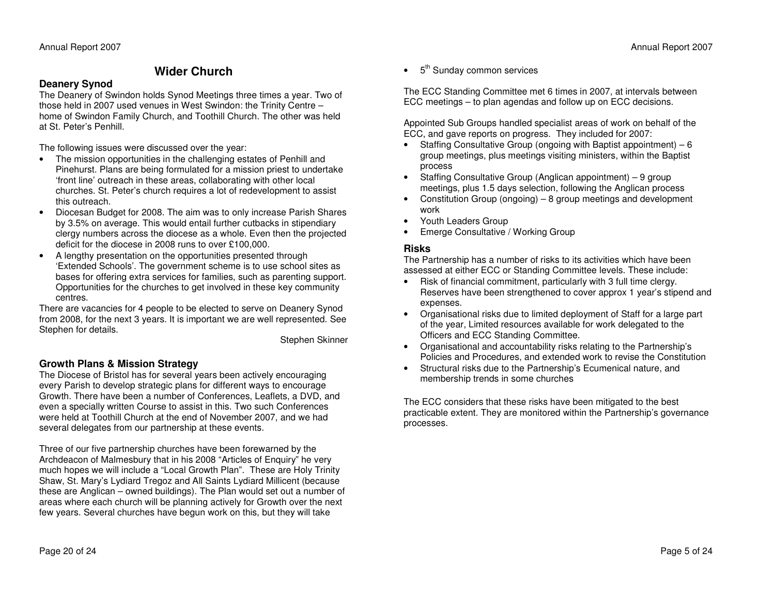## **Wider Church**

#### **Deanery Sy nod**

The Deanery of S windon holds Synod Meetings three times <sup>a</sup> year. T wo of those held in 2007 used venues in West Swindon: the Trinity Centre – home of Swindon Family Church, and Toothill Church. The other <sup>w</sup> as heldat St. Peter's Penhill.

The following issues were discussed over the year:

- • The mission opportunities in the challenging estates of Penhill and Pinehurst. Plans are being formulated for <sup>a</sup> mission priest to undertake 'front line' outreach in these areas, collaborating with other local churches. St. Peter's church requires <sup>a</sup> lot of redevelopment to assist this outreach.
- • Diocesan Budget for 2008. The aim was to only increase P arish Shares by 3.5% on average. This would entail further cutbacks in stipendiary clergy numbers across the diocese as <sup>a</sup> whole. Even then the projected deficit for the diocese in 2008 runs to over £100,000.
- • A lengthy presentation on the opportunities presented through 'Extended Schools'. The government scheme is to use school sites as bases for offering extra services for fa milies, such as parenting support. Opportunities for the churches to get involved in these key com munity centres.

There are vacancies for 4 people to be elected to serve on Deanery Synod from 2008, for the next 3 years. It is important we are well represented. See Stephen for details.

Stephen Skinner

### **GrowthPla ns &Mis sionStrate g y**

The Diocese of Bristol has for several years been actively encouraging every P arish to develop strategic plans for different <sup>w</sup> ays to encourage Growth. There have been <sup>a</sup> number of Conferences, Leaflets, <sup>a</sup> DVD, and even <sup>a</sup> specially written Course to assist in this. T wo such Conferences were held at Toothill Church at the end of November 2007, and we had several delegates from our partnership at these events.

Three of our five partnership churches have been forew arned by the Archdeacon of Malmesbury that in his 2008 "Articles of Enquiry" he very much hopes we will include <sup>a</sup> "Local Growth Plan". These are Holy Trinity Shaw, St. M ary's Lydiard Tregoz and All S aints Lydiard Millicent (because these are Anglican – owned buildings). The Plan would set out <sup>a</sup> number of areas where each church will be planning actively for Growth over the next few years. Several churches have begun work on this, but they will take

•• 5<sup>th</sup> Sunday common services

The E CCStanding Com mittee met 6 times in 2007, at intervals between E C C meetings – to plan agendas and follow up on E C C decisions.

Appointed Sub Groups handled specialist areas of work on behalf of the E C C, and gave reports on progress. They included for 2007:

- Staffing Consultative Group (ongoing with B aptist appointment) 6 group meetings, plus meetings visiting ministers, within the B aptist process
- • Staffing Consultative Group (Anglican appointment) – 9 group meetings, plus 1.5 days selection, following the Anglican process
- • Constitution Group (ongoing) – 8 group meetings and development work
- •Youth Leaders Group
- •E merge Consultative / Working Group

#### **Risks**

The Partnership has <sup>a</sup> number of risks to its activities which have been assessed at either ECC or Standing Com mittee levels. These include:

- • Risk of financial commitment, particularly with 3 full time clergy. Reserves have been strengthened to cover approx 1 year's stipend and expenses.
- • Organisational risks due to limited deployment of Staff for <sup>a</sup> large part of the year, Limited resources available for work delegated to the Officers and ECC Standing Committee.
- Organisational and accountability risks relating to the P artnership's Policies and Procedures, and extended work to revise the Constitution
- • Structural risks due to the Partnership's Ecumenical nature, and membership trends in some churches

The ECC considers that these risks have been mitigated to the best practicable extent. They are monitored within the P artnership's governance processes.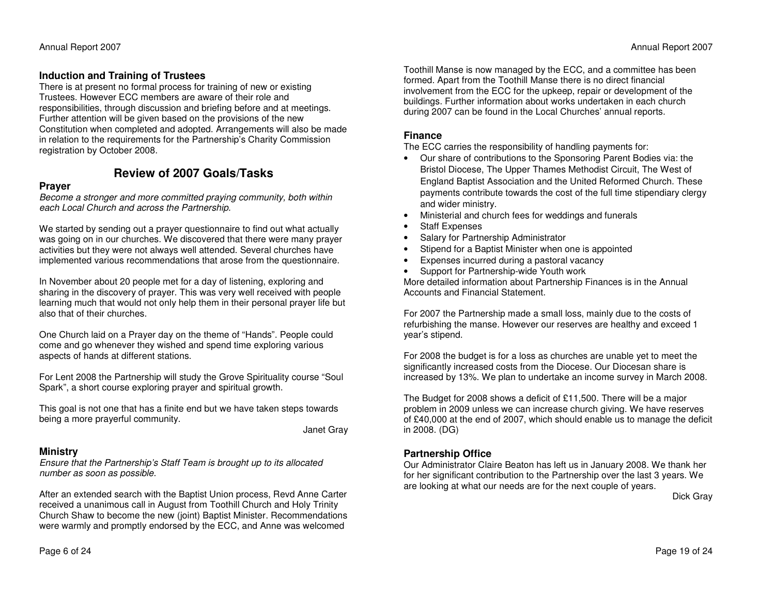#### **InductionandTraining of Trustees**

There is at present no form al process for training of new or existing Trustees. However ECC members are aware of their role and responsibilities, through discussion and briefing before and at meetings. Further attention will be given based on the provisions of the new Constitution when completed and adopted. Arrangements will also be <sup>m</sup> adein relation to the requirements for the P artnership's Charity Com mission registration by October 2008.

### **Reviewof 2007Goals/Tasks**

#### **Pray er**

Become a stronger and more committed praying community, both within *e ach Local C h urch a n d across th e P artn ership.*

We started by sending out <sup>a</sup> prayer questionnaire to find out what actually was going on in our churches. We discovered that there were <sup>m</sup> any prayer activities but they were not always well attended. Several churches have implemented various recom mendations that arose from the questionnaire.

In November about 20 people met for <sup>a</sup> day of listening, exploring and sharing in the discovery of prayer. This <sup>w</sup> as very well received with people learning much that would not only help them in their personal prayer life but also that of their churches.

One Church laid on a Prayer day on the theme of "H ands". People could come and go whenever they wished and spend time exploring various aspects of hands at different stations.

For Lent 2008 the Partnership will study the Grove Spirituality course "Soul Spark", <sup>a</sup> short course exploring prayer and spiritual growth.

This goal is not one that has <sup>a</sup> finite end but we have taken steps tow ardsbeing <sup>a</sup> more prayerful com munity.

Janet Gray

#### **Ministry**

Ensure that the Partnership's Staff Team is brought up to its allocated *number as soonas p ossible.*

After an extended search with the Baptist Union process, Revd Anne C arter received <sup>a</sup> unanimous call in August from Toothill Church and Holy Trinity Church Sha w to become the new (joint) B aptist Minister. Recom mendations were warmly and promptly endorsed by the E CC, and Anne <sup>w</sup> as welcomed

Toothill Manse is now managed by the ECC, and a committee has been formed. Apart from the Toothill M anse there is no direct financial involvement from the E CC for the upkeep, repair or development of the buildings. Further inform ation about works undertaken in each church during 2007 can be found in the Local Churches' annual reports.

#### **Finance**

The ECC carries the responsibility of handling payments for:

- • Our share of contributions to the Sponsoring P arent Bodies via: the Bristol Diocese, The Upper Tha mes Methodist Circuit, The West of England B aptist Association and the United Reformed Church. These payments contribute tow ards the cost of the full time stipendiary clergy and wider ministry.
- •Ministerial and church fees for weddings and funerals
- •Staff Expenses
- •Salary for P artnership Administrator
- •• Stipend for a Baptist Minister when one is appointed
- •Expenses incurred during <sup>a</sup> pastoral vacancy
- •• Support for Partnership-wide Youth work

More detailed information about P artnership Finances is in the Annual Accounts and Financial Statement.

For 2007 the Partnership <sup>m</sup> ade a small loss, <sup>m</sup> ainly due to the costs of refurbishing the <sup>m</sup> anse. However our reserves are healthy and exceed 1 year's stipend.

For 2008 the budget is for <sup>a</sup> loss as churches are unable yet to meet the significantly increased costs from the Diocese. Our Diocesan share is increased by 13%. We plan to undertake an income survey in M arch 2008.

The Budget for 2008 shows <sup>a</sup> deficit of £11,500. There will be <sup>a</sup> major problem in 2009 unless we can increase church giving. We have reserves of £ 40,000 at the end of 2007, which should enable us to <sup>m</sup> anage the deficit in 2008. (D G)

#### **Partnership Office**

Our Administrator Claire Beaton has left us in January 2008. We thank her for her significant contribution to the P artnership over the last 3 years. We are looking at what our needs are for the next couple of years.

Dick Gray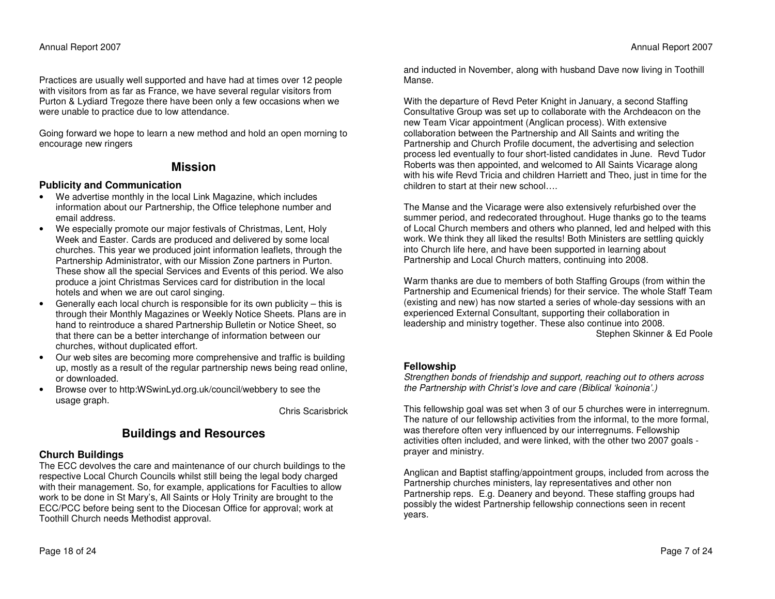Practices are usually well supported and have had at times over 12 people with visitors from as far as France, we have several regular visitors from Purton & Lydiard Tregoze there have been only <sup>a</sup> few occasions when we were unable to practice due to low attendance.

Going forw ard we hope to learn <sup>a</sup> new method and hold an open morning to encourage new ringers

### **Mission**

#### **Publicity andCommunication**

- We advertise monthly in the local Link M agazine, which includes information about our Partnership, the Office telephone number and email address.
- • We especially promote our <sup>m</sup> ajor festivals of Christm as, Lent, Holy Week and Easter. Cards are produced and delivered by some local churches. This year we produced joint inform ation leaflets, through the Partnership Administrator, with our Mission Zone partners in Purton. These showall the special Services and Events of this period. We also produce <sup>a</sup> joint Christm as Services card for distribution in the local hotels and when we are out carol singing.
- • Generally each local church is responsible for its own publicity – this is through their Monthly M agazines or Weekly Notice Sheets. Plans are in hand to reintroduce a shared Partnership Bulletin or Notice Sheet, so that there can be <sup>a</sup> better interchange of inform ation between our churches, without duplicated effort.
- • Our web sites are becoming more comprehensive and traffic is building up, mostly as <sup>a</sup> result of the regular partnership news being read online, or downloaded.
- •• Browse over to http:WSwinLyd.org.uk/council/webbery to see the usage graph.

Chris Scarisbrick

## **Buildings and Resources**

#### **Ch urc h Buildin g s**

The E C C devolves the care and <sup>m</sup> aintenance of our church buildings to the respective Local Church Councils whilst still being the legal body charged with their <sup>m</sup>anagement. So, for exa mple, applications for F aculties to allowwork to be done in St M ary's, All S aints or Holy Trinity are brought to the ECC/PCC before being sent to the Diocesan Office for approval; work at Toothill Church needs Methodist approval.

and inducted in November, along with husband D ave now living in Toothill Manse.

With the departure of Revd Peter Knight in January, <sup>a</sup> second Staffing Consultative Group <sup>w</sup> as set up to collaborate with the Archdeacon on the new Team Vicar appointment (Anglican process). With extensive collaboration between the P artnership and All S aints and writing the Partnership and Church Profile document, the advertising and selection process led eventually to four short-listed candidates in June. Revd Tudor Roberts was then appointed, and welcomed to All S aints Vicarage along with his wife Revd Tricia and children Harriett and Theo, just in time for the children to start at their new school….

The M anse and the Vicarage were also extensively refurbished over the summer period, and redecorated throughout. Huge thanks go to the tea ms of Local Church members and others who planned, led and helped with this work. We think they all liked the results! Both Ministers are settling quickly into Church life here, and have been supported in learning about P artnership and Local Church <sup>m</sup> atters, continuing into 2008.

Warm thanks are due to members of both Staffing Groups (from within the P artnership and Ecumenical friends) for their service. The whole Staff Tea m(existing and new) has now started <sup>a</sup> series of whole-day sessions with an experienced External Consultant, supporting their collaboration in leadership and ministry together. These also continue into 2008. Stephen Skinner & Ed Poole

#### **Fellowship**

Strengthen bonds of friendship and support, reaching out to others across *th e Partn ership with Christ's love a n d care (Biblical 'koin o nia'.)*

This fellowship goal <sup>w</sup> as set when 3 of our 5 churches were in interregnum. The nature of our fellowship activities from the inform al, to the more form al, was therefore often very influenced by our interregnums. Fellowship activities often included, and were linked, with the other two 2007 goals prayer and ministry.

Anglican and B aptist staffing/appointment groups, included from across theP artnership churches ministers, lay representatives and other non Partnership reps. E.g. Deanery and beyond. These staffing groups had possibly the widest Partnership fellowship connections seen in recent years.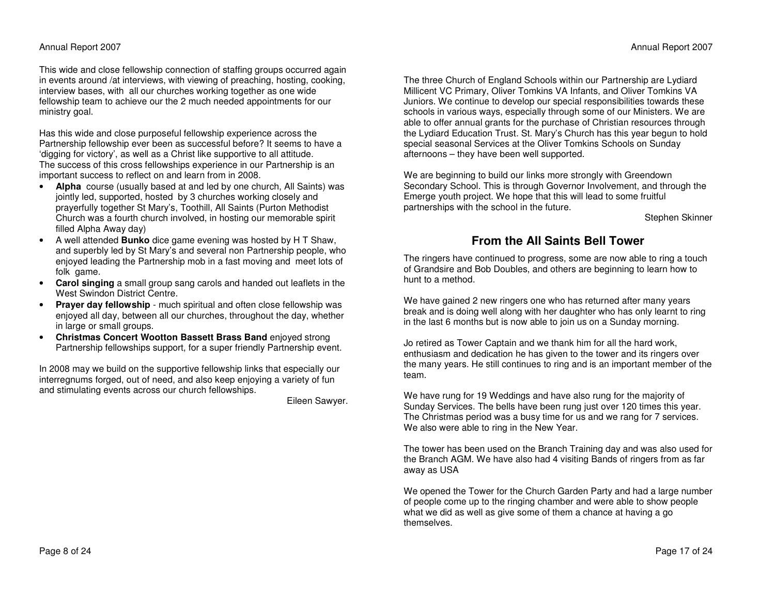This wide and close fellowship connection of staffing groups occurred again in events around /at interviews, with viewing of preaching, hosting, cooking, interview bases, with all our churches working together as one wide fellowship team to achieve our the 2 much needed appointments for our ministry goal.

Has this wide and close purposeful fellowship experience across the Partnership fellowship ever been as successful before? It seems to have <sup>a</sup> 'digging for victory', as well as <sup>a</sup> Christ like supportive to all attitude. The success of this cross fellowships experience in our Partnership is an important success to reflect on and learn from in 2008.

- **Alpha** course (usually based at and led by one church, All Saints) was jointly led, supported, hosted by 3 churches working closely and prayerfully together St Mary's, Toothill, All Saints (Purton Methodist Church was <sup>a</sup> fourth church involved, in hosting our memorable spirit filled Alpha Away day)
- • A well attended **Bunko** dice game evening was hosted by H T Shaw, and superbly led by St Mary's and several non Partnership people, who enjoyed leading the Partnership mob in <sup>a</sup> fast moving and meet lots of folk game.
- **Carol singing** <sup>a</sup> small group sang carols and handed out leaflets in the West Swindon District Centre.
- • **Prayer day fellowship** - much spiritual and often close fellowship was enjoyed all day, between all our churches, throughout the day, whether in large or small groups.
- • **Christmas Concert Wootton Bassett Brass Band** enjoyed strong Partnership fellowships support, for <sup>a</sup> super friendly Partnership event.

In 2008 may we build on the supportive fellowship links that especially our interregnums forged, out of need, and also keep enjoying <sup>a</sup> variety of fun and stimulating events across our church fellowships.

Eileen Sawyer.

The three Church of England Schools within our Partnership are Lydiard Millicent VC Primary, Oliver Tomkins VA Infants, and Oliver Tomkins VA Juniors. We continue to develop our special responsibilities towards these schools in various ways, especially through some of our Ministers. We are able to offer annual grants for the purchase of Christian resources through the Lydiard Education Trust. St. Mary's Church has this year begun to hold special seasonal Services at the Oliver Tomkins Schools on Sunday afternoons – they have been well supported.

We are beginning to build our links more strongly with Greendown Secondary School. This is through Governor Involvement, and through the Emerge youth project. We hope that this will lead to some fruitful partnerships with the school in the future.

Stephen Skinner

## **From the All Saints Bell Tower**

The ringers have continued to progress, some are now able to ring <sup>a</sup> touch of Grandsire and Bob Doubles, and others are beginning to learn how to hunt to a method.

We have gained 2 new ringers one who has returned after many years break and is doing well along with her daughter who has only learnt to ring in the last 6 months but is now able to join us on <sup>a</sup> Sunday morning.

Jo retired as Tower Captain and we thank him for all the hard work, enthusiasm and dedication he has given to the tower and its ringers over the many years. He still continues to ring and is an important member of the team.

We have rung for 19 Weddings and have also rung for the majority of Sunday Services. The bells have been rung just over 120 times this year. The Christmas period was <sup>a</sup> busy time for us and we rang for 7 services. We also were able to ring in the New Year.

The tower has been used on the Branch Training day and was also used for the Branch AGM. We have also had 4 visiting Bands of ringers from as far away as USA

We opened the Tower for the Church Garden Party and had <sup>a</sup> large number of people come up to the ringing chamber and were able to show people what we did as well as give some of them <sup>a</sup> chance at having <sup>a</sup> go themselves.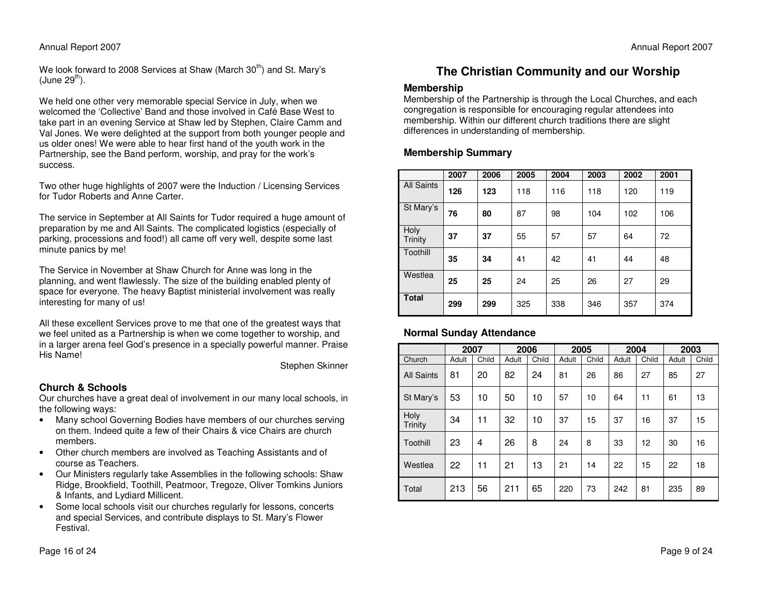#### Annual Report 2007

We look forward to 2008 Services at Shaw (March 30 $^{\rm th}$ ) and St. Mary's  $(J$ une 29<sup>th</sup>).

We held one other very memorable special Service in July, when we welcomed the 'Collective' Band and those involved in Café Base West to take part in an evening Service at Shaw led by Stephen, Claire Camm and Val Jones. We were delighted at the support from both younger people and us older ones! We were able to hear first hand of the youth work in the Partnership, see the Band perform, worship, and pray for the work's success.

Two other huge highlights of 2007 were the Induction / Licensing Services for Tudor Roberts and Anne Carter.

The service in September at All Saints for Tudor required <sup>a</sup> huge amount of preparation by me and All Saints. The complicated logistics (especially of parking, processions and food!) all came off very well, despite some last minute panics by me!

The Service in November at Shaw Church for Anne was long in the planning, and went flawlessly. The size of the building enabled plenty of space for everyone. The heavy Baptist ministerial involvement was really interesting for many of us!

All these excellent Services prove to me that one of the greatest ways that we feel united as <sup>a</sup> Partnership is when we come together to worship, and in <sup>a</sup> larger arena feel God's presence in <sup>a</sup> specially powerful manner. Praise His Name!

Stephen Skinner

#### **Church & Schools**

Our churches have <sup>a</sup> great deal of involvement in our many local schools, in the following ways:

- Many school Governing Bodies have members of our churches serving on them. Indeed quite <sup>a</sup> few of their Chairs & vice Chairs are church members.
- • Other church members are involved as Teaching Assistants and of course as Teachers.
- • Our Ministers regularly take Assemblies in the following schools: Shaw Ridge, Brookfield, Toothill, Peatmoor, Tregoze, Oliver Tomkins Juniors & Infants, and Lydiard Millicent.
- • Some local schools visit our churches regularly for lessons, concerts and special Services, and contribute displays to St. Mary's Flower Festival.

## **The Christian Community and our Worship**

#### **Membership**

Membership of the Partnership is through the Local Churches, and each congregation is responsible for encouraging regular attendees into membership. Within our different church traditions there are slight differences in understanding of membership.

#### **Membership Summary**

|                        | 2007 | 2006 | 2005 | 2004 | 2003 | 2002 | 2001 |
|------------------------|------|------|------|------|------|------|------|
| <b>All Saints</b>      | 126  | 123  | 118  | 116  | 118  | 120  | 119  |
| St Mary's              | 76   | 80   | 87   | 98   | 104  | 102  | 106  |
| Holy<br><b>Trinity</b> | 37   | 37   | 55   | 57   | 57   | 64   | 72   |
| Toothill               | 35   | 34   | 41   | 42   | 41   | 44   | 48   |
| Westlea                | 25   | 25   | 24   | 25   | 26   | 27   | 29   |
| <b>Total</b>           | 299  | 299  | 325  | 338  | 346  | 357  | 374  |

#### **Normal Sunday Attendance**

|                   | 2007  |       | 2006  |       | 2005  |       | 2004  |       | 2003  |       |
|-------------------|-------|-------|-------|-------|-------|-------|-------|-------|-------|-------|
| Church            | Adult | Child | Adult | Child | Adult | Child | Adult | Child | Adult | Child |
| <b>All Saints</b> | 81    | 20    | 82    | 24    | 81    | 26    | 86    | 27    | 85    | 27    |
| St Mary's         | 53    | 10    | 50    | 10    | 57    | 10    | 64    | 11    | 61    | 13    |
| Holy<br>Trinity   | 34    | 11    | 32    | 10    | 37    | 15    | 37    | 16    | 37    | 15    |
| Toothill          | 23    | 4     | 26    | 8     | 24    | 8     | 33    | 12    | 30    | 16    |
| Westlea           | 22    | 11    | 21    | 13    | 21    | 14    | 22    | 15    | 22    | 18    |
| Total             | 213   | 56    | 211   | 65    | 220   | 73    | 242   | 81    | 235   | 89    |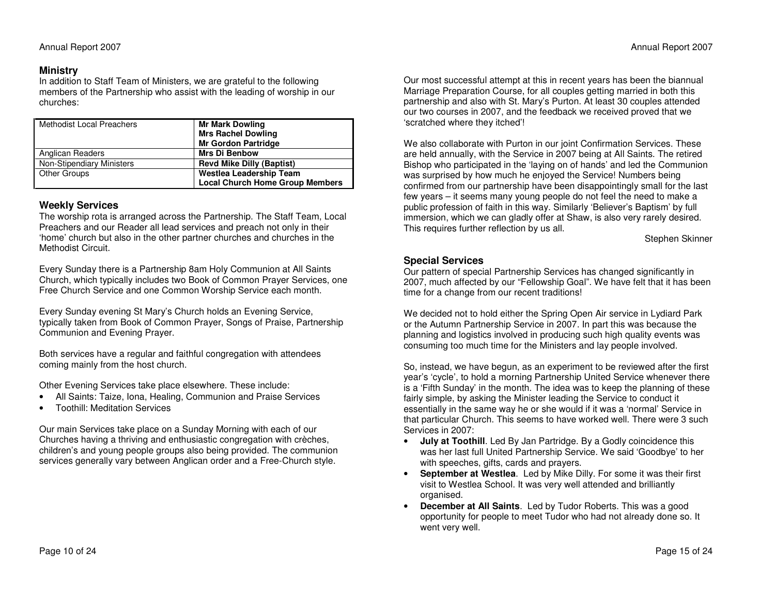#### **Ministry**

In addition to Staff Tea m of Ministers, we are grateful to the following members of the Partnership who assist with the leading of worship in our churches:

| <b>Methodist Local Preachers</b> | <b>Mr Mark Dowling</b><br><b>Mrs Rachel Dowling</b><br><b>Mr Gordon Partridge</b> |
|----------------------------------|-----------------------------------------------------------------------------------|
| Anglican Readers                 | <b>Mrs Di Benbow</b>                                                              |
| Non-Stipendiary Ministers        | <b>Revd Mike Dilly (Baptist)</b>                                                  |
| <b>Other Groups</b>              | Westlea Leadership Team                                                           |
|                                  | <b>Local Church Home Group Members</b>                                            |

#### **We e kly S ervic e s**

The worship rota is arranged across the P artnership. The Staff Tea m, Local Preachers and our Reader all lead services and preach not only in their 'home' church but also in the other partner churches and churches in the Methodist Circuit.

Every Sunday there is a Partnership 8am Holy Communion at All Saints Church, which typically includes two Book of Com mon Prayer Services, one Free Church Service and one Common Worship Service each month.

Every Sunday evening St M ary's Church holds an Evening Service, typically taken from Book of Common Prayer, Songs of Praise, P artnership Communion and Evening Prayer.

Both services have <sup>a</sup> regular and faithful congregation with attendees coming <sup>m</sup> ainly from the host church.

Other Evening Services take place elsewhere. These include:

- •All Saints: Taize, Iona, Healing, Com munion and Praise Services
- •Toothill: Meditation Services

Our m ain Services take place on <sup>a</sup> Sunday Morning with each of our Churches having <sup>a</sup> thriving and enthusiastic congregation with crèches, children's and young people groups also being provided. The com munionservices generally vary between Anglican order and <sup>a</sup> Free-Church style.

Our most successful attempt at this in recent years has been the biannual M arriage Preparation Course, for all couples getting <sup>m</sup> arried in both this partnership and also with St. Mary's Purton. At least 30 couples attended our two courses in 2007, and the feedback we received proved that we 'scratched where they itched'!

We also collaborate with Purton in our joint Confirm ation Services. These are held annually, with the Service in 2007 being at All S aints. The retired Bishop who participated in the 'laying on of hands' and led the Com munion w as surprised by how much he enjoyed the Service! Numbers being confirmed from our partnership have been disappointingly sm all for the last few years – it seems <sup>m</sup> any young people do not feel the need to <sup>m</sup> ake a public profession of faith in this <sup>w</sup> ay. Similarly 'Believer's B aptism' by full immersion, which we can gladly offer at Sha w, is also very rarely desired. This requires further reflection by us all.

Stephen Skinner

#### **Sp e cial Servic e s**

Our pattern of special Partnership Services has changed significantly in 2007, much affected by our "Fellowship Goal". We have felt that it has been time for <sup>a</sup> change from our recent traditions!

We decided not to hold either the Spring Open Air service in Lydiard P ark or the Autumn P artnership Service in 2007. In part this <sup>w</sup> as because the planning and logistics involved in producing such high quality events <sup>w</sup> as consuming too much time for the Ministers and lay people involved.

So, instead, we have begun, as an experiment to be reviewed after the first year's 'cycle', to hold a morning Partnership United Service whenever there is a 'Fifth Sunday' in the month. The idea was to keep the planning of these fairly simple, by asking the Minister leading the Service to conduct it essentially in the sa me way he or she would if it <sup>w</sup> as a 'normal' Service in that particular Church. This seems to have worked well. There were 3 such Services in 2007:

- • **July at Toothill**. Led By Jan P artridge. By <sup>a</sup> Godly coincidence this was her last full United Partnership Service. We said 'Goodbye' to her with speeches, gifts, cards and prayers.
- •**•** September at Westlea. Led by Mike Dilly. For some it was their first visit to Westlea School. It <sup>w</sup>as very well attended and brilliantly organised.
- • **December at All Saints**. Led by Tudor Roberts. This <sup>w</sup> as a good opportunity for people to meet Tudor who had not already done so. It went very well.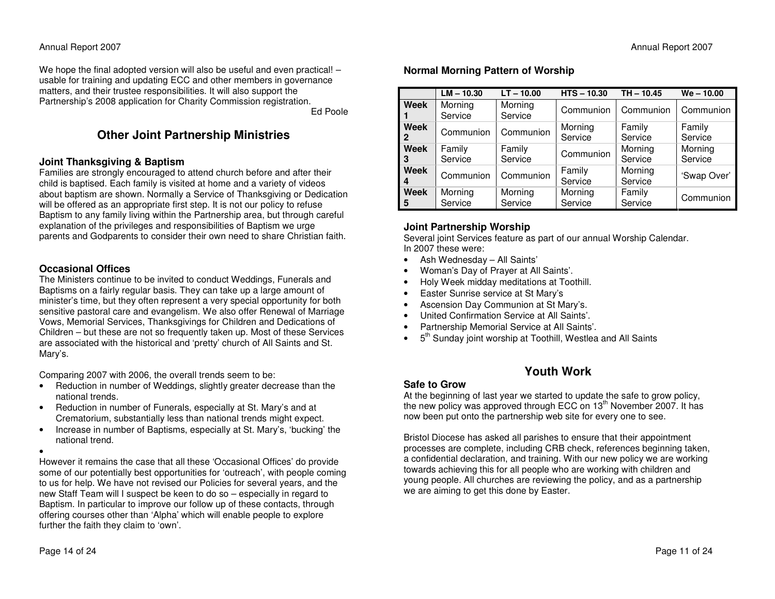We hope the final adopted version will also be useful and even practical! – usable for training and updating E C C and other members in governance matters, and their trustee responsibilities. It will also support the P artnership's 2008 application for Charity Com mission registration. Ed Poole

## **Oth er J oint P artn ers hip Ministrie s**

#### **J oint T h a n k s givin g & B a ptis m**

F a milies are strongly encouraged to attend church before and after their child is baptised. Each family is visited at home and a variety of videos about baptism are shown. Normally a Service of Thanksgiving or Dedication will be offered as an appropriate first step. It is not our policy to refuse Baptism to any family living within the Partnership area, but through careful explanation of the privileges and responsibilities of B aptism we urge parents and Godparents to consider their own need to share Christian faith.

#### **Occasional Offices**

The Ministers continue to be invited to conduct Weddings, Funerals and Baptisms on <sup>a</sup> fairly regular basis. They can take up <sup>a</sup> large <sup>a</sup> mount of minister's time, but they often represent <sup>a</sup> very special opportunity for both sensitive pastoral care and evangelism. We also offer Renew al of Marriage Vows, Memorial Services, Thanksgivings for Children and Dedications of Children – but these are not so frequently taken up. Most of these Services are associated with the historical and 'pretty' church of All S aints and St. M ary's.

Comparing 2007 with 2006, the overall trends seem to be:

- •• Reduction in number of Weddings, slightly greater decrease than the national trends.
- • Reduction in number of Funerals, especially at St. M ary's and at Crematorium, substantially less than national trends might expect.
- •• Increase in number of Baptisms, especially at St. Mary's, 'bucking' the national trend.

•

However it remains the case that all these 'Occasional Offices' do provide some of our potentially best opportunities for 'outreach', with people coming to us for help. We have not revised our Policies for several years, and the new Staff Team will I suspect be keen to do so – especially in regard to Baptism. In particular to improve our follow up of these contacts, through offering courses other than 'Alpha' which will enable people to explore further the faith they claim to 'own'.

### **N ormal Mornin g P attern of Wors hip**

|                  | $LM - 10.30$       | $LT - 10.00$       | $HTS - 10.30$      | $TH - 10.45$       | $We - 10.00$       |
|------------------|--------------------|--------------------|--------------------|--------------------|--------------------|
| Week             | Morning<br>Service | Morning<br>Service | Communion          | Communion          | Communion          |
| Week<br>2        | Communion          | Communion          | Morning<br>Service | Family<br>Service  | Family<br>Service  |
| Week<br>3        | Family<br>Service  | Family<br>Service  | Communion          | Morning<br>Service | Morning<br>Service |
| Week<br>4        | Communion          | Communion          | Family<br>Service  | Morning<br>Service | 'Swap Over'        |
| <b>Week</b><br>5 | Morning<br>Service | Morning<br>Service | Morning<br>Service | Family<br>Service  | Communion          |

### **J oint Partners hip Wors hip**

Several joint Services feature as part of our annual Worship C alendar. In 2007 these were:

- •Ash Wednesday – All S aints'
- •Woman's D ay of Prayer at All S aints'.
- •Holy Week midday meditations at Toothill.
- •**•** Easter Sunrise service at St Mary's
- •Ascension D ay Com munion at St M ary's.
- •United Confirmation Service at All Saints'.
- •Partnership Memorial Service at All S aints'.
- •• 5<sup>th</sup> Sunday joint worship at Toothill, Westlea and All Saints

## **YouthWork**

### **Safe toGrow**

At the beginning of last year we started to update the safe to grow policy, the new policy was approved through ECC on 13<sup>th</sup> November 2007. It has now been put onto the partnership web site for every one to see.

Bristol Diocese has asked all parishes to ensure that their appointment processes are complete, including C RB check, references beginning taken, a confidential declaration, and training. With our new policy we are working towards achieving this for all people who are working with children and young people. All churches are reviewing the policy, and as <sup>a</sup> partnership we are aiming to get this done by E aster.